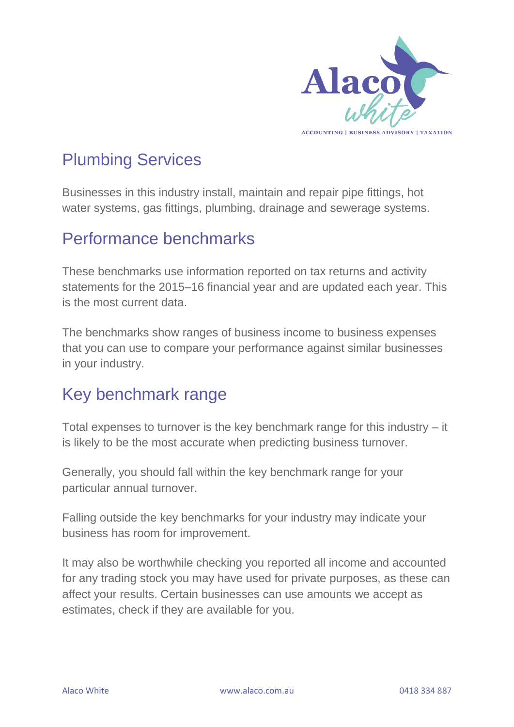

# Plumbing Services

Businesses in this industry install, maintain and repair pipe fittings, hot water systems, gas fittings, plumbing, drainage and sewerage systems.

### Performance benchmarks

These benchmarks use information reported on tax returns and activity statements for the 2015–16 financial year and are updated each year. This is the most current data.

The benchmarks show ranges of business income to business expenses that you can use to compare your performance against similar businesses in your industry.

### Key benchmark range

Total expenses to turnover is the key benchmark range for this industry – it is likely to be the most accurate when predicting business turnover.

Generally, you should fall within the key benchmark range for your particular annual turnover.

Falling outside the key benchmarks for your industry may indicate your business has room for improvement.

It may also be worthwhile checking you reported all income and accounted for any trading stock you may have used for private purposes, as these can affect your results. Certain businesses can use amounts we accept as estimates, check if they are available for you.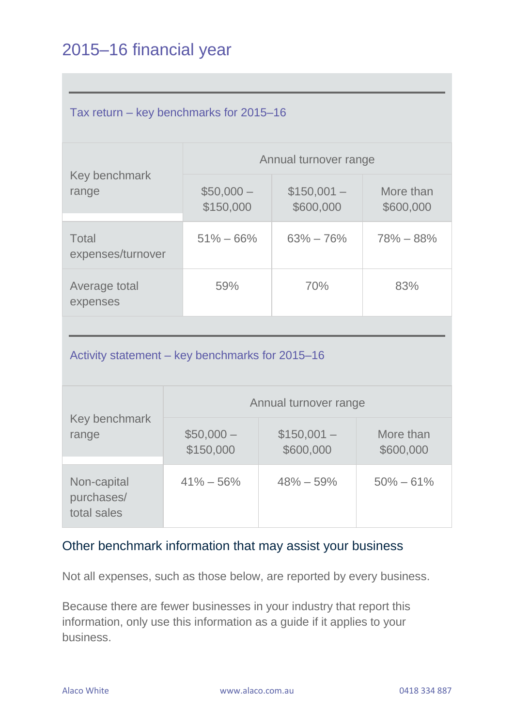# 2015–16 financial year

| Tax return – key benchmarks for 2015–16 |                         |                          |                        |  |  |
|-----------------------------------------|-------------------------|--------------------------|------------------------|--|--|
| Key benchmark<br>range                  | Annual turnover range   |                          |                        |  |  |
|                                         | $$50,000-$<br>\$150,000 | $$150,001-$<br>\$600,000 | More than<br>\$600,000 |  |  |
| <b>Total</b><br>expenses/turnover       | $51\% - 66\%$           | $63\% - 76\%$            | $78\% - 88\%$          |  |  |
| Average total<br>expenses               | 59%                     | 70%                      | 83%                    |  |  |

Activity statement – key benchmarks for 2015–16

| Key benchmark<br>range                   | Annual turnover range   |                          |                        |  |
|------------------------------------------|-------------------------|--------------------------|------------------------|--|
|                                          | $$50,000-$<br>\$150,000 | $$150,001-$<br>\$600,000 | More than<br>\$600,000 |  |
| Non-capital<br>purchases/<br>total sales | $41\% - 56\%$           | $48\% - 59\%$            | $50\% - 61\%$          |  |

#### Other benchmark information that may assist your business

Not all expenses, such as those below, are reported by every business.

Because there are fewer businesses in your industry that report this information, only use this information as a guide if it applies to your business.